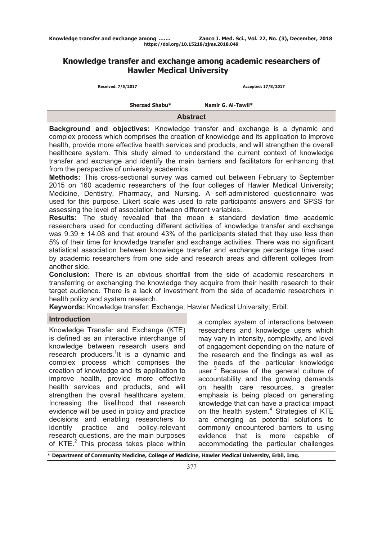# **Knowledge transfer and exchange among academic researchers of Hawler Medical University**

| Received: 7/5/2017 |                       | Accepted: 17/8/2017 |  |
|--------------------|-----------------------|---------------------|--|
|                    | <b>Sherzad Shabu*</b> | Namir G. Al-Tawil*  |  |
| <b>Abstract</b>    |                       |                     |  |

**Background and objectives:** Knowledge transfer and exchange is a dynamic and complex process which comprises the creation of knowledge and its application to improve health, provide more effective health services and products, and will strengthen the overall healthcare system. This study aimed to understand the current context of knowledge transfer and exchange and identify the main barriers and facilitators for enhancing that from the perspective of university academics.

**Methods:** This cross-sectional survey was carried out between February to September 2015 on 160 academic researchers of the four colleges of Hawler Medical University; Medicine, Dentistry, Pharmacy, and Nursing. A self-administered questionnaire was used for this purpose. Likert scale was used to rate participants answers and SPSS for assessing the level of association between different variables.

**Results:** The study revealed that the mean ± standard deviation time academic researchers used for conducting different activities of knowledge transfer and exchange was 9.39  $\pm$  14.08 and that around 43% of the participants stated that they use less than 5% of their time for knowledge transfer and exchange activities. There was no significant statistical association between knowledge transfer and exchange percentage time used by academic researchers from one side and research areas and different colleges from another side.

**Conclusion:** There is an obvious shortfall from the side of academic researchers in transferring or exchanging the knowledge they acquire from their health research to their target audience. There is a lack of investment from the side of academic researchers in health policy and system research.

**Keywords:** Knowledge transfer; Exchange; Hawler Medical University; Erbil.

# **Introduction**

Knowledge Transfer and Exchange (KTE) is defined as an interactive interchange of knowledge between research users and research producers.<sup>1</sup>It is a dynamic and complex process which comprises the creation of knowledge and its application to improve health, provide more effective health services and products, and will strengthen the overall healthcare system. Increasing the likelihood that research evidence will be used in policy and practice decisions and enabling researchers to identify practice and policy-relevant research questions, are the main purposes of KTE.<sup>2</sup> This process takes place within a complex system of interactions between researchers and knowledge users which may vary in intensity, complexity, and level of engagement depending on the nature of the research and the findings as well as the needs of the particular knowledge user.<sup>3</sup> Because of the general culture of accountability and the growing demands on health care resources, a greater emphasis is being placed on generating knowledge that can have a practical impact on the health system.<sup>4</sup> Strategies of KTE are emerging as potential solutions to commonly encountered barriers to using evidence that is more capable of accommodating the particular challenges

**\* Department of Community Medicine, College of Medicine, Hawler Medical University, Erbil, Iraq.**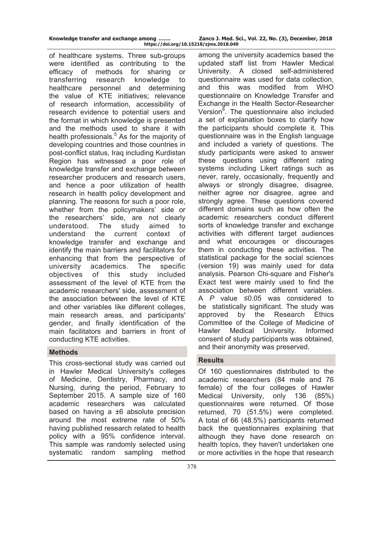| Knowledge transfer and exchange among |  |   |  |
|---------------------------------------|--|---|--|
|                                       |  | . |  |

of healthcare systems. Three sub-groups were identified as contributing to the efficacy of methods for sharing or transferring research knowledge to healthcare personnel and determining the value of KTE initiatives; relevance of research information, accessibility of research evidence to potential users and the format in which knowledge is presented and the methods used to share it with health professionals.<sup>5</sup> As for the majority of developing countries and those countries in post-conflict status, Iraq including Kurdistan Region has witnessed a poor role of knowledge transfer and exchange between researcher producers and research users, and hence a poor utilization of health research in health policy development and planning. The reasons for such a poor role, whether from the policymakers' side or the researchers' side, are not clearly understood. The study aimed to understand the current context of knowledge transfer and exchange and identify the main barriers and facilitators for enhancing that from the perspective of university academics. The specific objectives of this study included assessment of the level of KTE from the academic researchers' side, assessment of the association between the level of KTE and other variables like different colleges, main research areas, and participants' gender, and finally identification of the main facilitators and barriers in front of conducting KTE activities.

# **Methods**

This cross-sectional study was carried out in Hawler Medical University's colleges of Medicine, Dentistry, Pharmacy, and Nursing, during the period, February to September 2015. A sample size of 160 academic researchers was calculated based on having a ±6 absolute precision around the most extreme rate of 50% having published research related to health policy with a 95% confidence interval. This sample was randomly selected using systematic random sampling method

among the university academics based the updated staff list from Hawler Medical University. A closed self-administered questionnaire was used for data collection, and this was modified from WHO questionnaire on Knowledge Transfer and Exchange in the Health Sector-Researcher Version<sup>6</sup>. The questionnaire also included a set of explanation boxes to clarify how the participants should complete it. This questionnaire was in the English language and included a variety of questions. The study participants were asked to answer these questions using different rating systems including Likert ratings such as never, rarely, occasionally, frequently and always or strongly disagree, disagree, neither agree nor disagree, agree and strongly agree. These questions covered different domains such as how often the academic researchers conduct different sorts of knowledge transfer and exchange activities with different target audiences and what encourages or discourages them in conducting these activities. The statistical package for the social sciences (version 19) was mainly used for data analysis. Pearson Chi-square and Fisher's Exact test were mainly used to find the association between different variables. A *P* value ≤0.05 was considered to be statistically significant. The study was approved by the Research Ethics Committee of the College of Medicine of Hawler Medical University. Informed consent of study participants was obtained, and their anonymity was preserved.

# **Results**

Of 160 questionnaires distributed to the academic researchers (84 male and 76 female) of the four colleges of Hawler Medical University, only 136 (85%) questionnaires were returned. Of those returned, 70 (51.5%) were completed. A total of 66 (48.5%) participants returned back the questionnaires explaining that although they have done research on health topics, they haven't undertaken one or more activities in the hope that research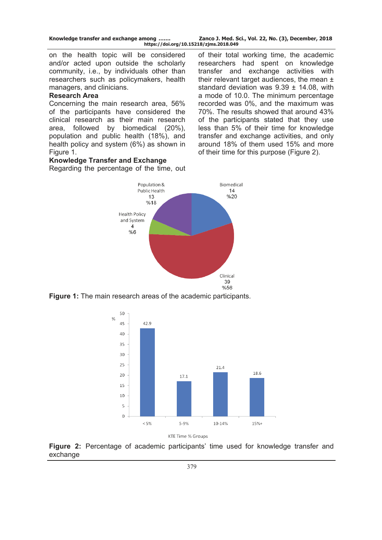| Knowledge transfer and exchange among | Zanco J. Med. Sci., Vol. 22, No. (3), December, 2018 |
|---------------------------------------|------------------------------------------------------|
|                                       | https://doi.org/10.15218/zjms.2018.049               |

on the health topic will be considered and/or acted upon outside the scholarly community, i.e., by individuals other than researchers such as policymakers, health managers, and clinicians.

#### **Research Area**

Concerning the main research area, 56% of the participants have considered the clinical research as their main research area, followed by biomedical (20%), population and public health (18%), and health policy and system (6%) as shown in Figure 1.

# **Knowledge Transfer and Exchange**

Regarding the percentage of the time, out

of their total working time, the academic researchers had spent on knowledge transfer and exchange activities with their relevant target audiences, the mean ± standard deviation was  $9.39 \pm 14.08$ , with a mode of 10.0. The minimum percentage recorded was 0%, and the maximum was 70%. The results showed that around 43% of the participants stated that they use less than 5% of their time for knowledge transfer and exchange activities, and only around 18% of them used 15% and more of their time for this purpose (Figure 2).



**Figure 1:** The main research areas of the academic participants.



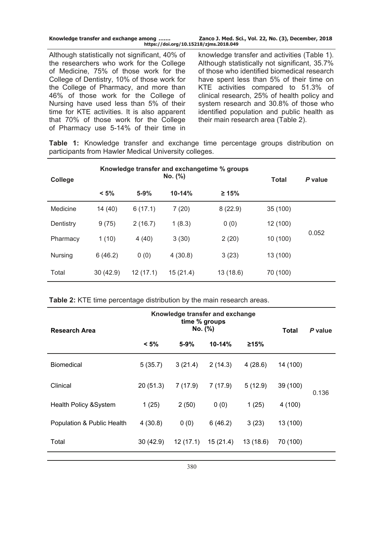| Knowledge transfer and exchange among<br>https://doi.org/10.15218/zjms.2018.049 | Zanco J. Med. Sci., Vol. 22, No. (3), December, 2018 |  |  |
|---------------------------------------------------------------------------------|------------------------------------------------------|--|--|
| Although statistically not significant, 40% of                                  | knowledge transfer and activities (Table 1).         |  |  |
| the researchers who work for the College                                        | Although statistically not significant, 35.7%        |  |  |

the researchers who work for the College of Medicine, 75% of those work for the College of Dentistry, 10% of those work for the College of Pharmacy, and more than 46% of those work for the College of Nursing have used less than 5% of their time for KTE activities. It is also apparent that 70% of those work for the College of Pharmacy use 5-14% of their time in

knowledge transfer and activities (Table 1). Although statistically not significant, 35.7% of those who identified biomedical research have spent less than 5% of their time on KTE activities compared to 51.3% of clinical research, 25% of health policy and system research and 30.8% of those who identified population and public health as their main research area (Table 2).

**Table 1:** Knowledge transfer and exchange time percentage groups distribution on participants from Hawler Medical University colleges.

| College        | Knowledge transfer and exchangetime % groups<br>No. (%) |          |            |             | <b>Total</b> | P value |
|----------------|---------------------------------------------------------|----------|------------|-------------|--------------|---------|
|                | $< 5\%$                                                 | $5 - 9%$ | $10 - 14%$ | $\geq 15\%$ |              |         |
| Medicine       | 14 (40)                                                 | 6(17.1)  | 7(20)      | 8(22.9)     | 35 (100)     |         |
| Dentistry      | 9(75)                                                   | 2(16.7)  | 1(8.3)     | 0(0)        | 12 (100)     |         |
| Pharmacy       | 1(10)                                                   | 4(40)    | 3(30)      | 2(20)       | 10 (100)     | 0.052   |
| <b>Nursing</b> | 6(46.2)                                                 | 0(0)     | 4(30.8)    | 3(23)       | 13 (100)     |         |
| Total          | 30(42.9)                                                | 12(17.1) | 15(21.4)   | 13 (18.6)   | 70 (100)     |         |

**Table 2:** KTE time percentage distribution by the main research areas.

| Research Area                     | Knowledge transfer and exchange<br>time % groups<br>No. (%) |          |            |          | Total    | P value |
|-----------------------------------|-------------------------------------------------------------|----------|------------|----------|----------|---------|
|                                   | $< 5\%$                                                     | $5 - 9%$ | $10 - 14%$ | ≥15%     |          |         |
| <b>Biomedical</b>                 | 5(35.7)                                                     | 3(21.4)  | 2(14.3)    | 4(28.6)  | 14 (100) |         |
| Clinical                          | 20(51.3)                                                    | 7(17.9)  | 7(17.9)    | 5(12.9)  | 39 (100) | 0.136   |
| <b>Health Policy &amp; System</b> | 1(25)                                                       | 2(50)    | 0(0)       | 1(25)    | 4 (100)  |         |
| Population & Public Health        | 4(30.8)                                                     | 0(0)     | 6(46.2)    | 3(23)    | 13 (100) |         |
| Total                             | 30(42.9)                                                    | 12(17.1) | 15(21.4)   | 13(18.6) | 70 (100) |         |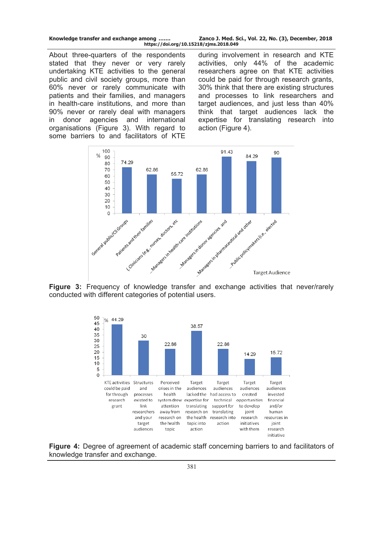| Knowledge transfer and exchange among | Zanco J. Med. Sci., Vol. 22, No. (3), December, 2018 |
|---------------------------------------|------------------------------------------------------|
|                                       | https://doi.org/10.15218/zjms.2018.049               |

About three-quarters of the respondents stated that they never or very rarely undertaking KTE activities to the general public and civil society groups, more than 60% never or rarely communicate with patients and their families, and managers in health-care institutions, and more than 90% never or rarely deal with managers in donor agencies and international organisations (Figure 3). With regard to some barriers to and facilitators of KTE

during involvement in research and KTE activities, only 44% of the academic researchers agree on that KTE activities could be paid for through research grants, 30% think that there are existing structures and processes to link researchers and target audiences, and just less than 40% think that target audiences lack the expertise for translating research into action (Figure 4).



**Figure 3:** Frequency of knowledge transfer and exchange activities that never/rarely conducted with different categories of potential users.



**Figure 4:** Degree of agreement of academic staff concerning barriers to and facilitators of knowledge transfer and exchange.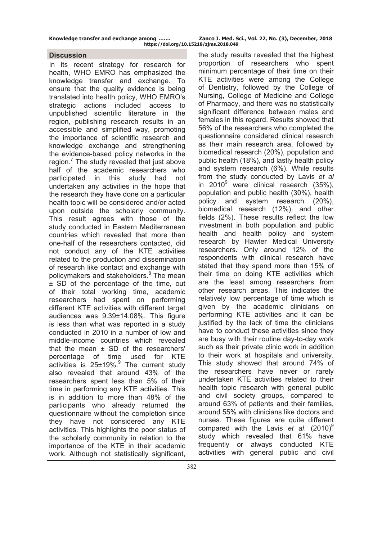#### **Discussion**

In its recent strategy for research for health, WHO EMRO has emphasized the knowledge transfer and exchange. To ensure that the quality evidence is being translated into health policy, WHO EMRO's strategic actions included access to unpublished scientific literature in the region, publishing research results in an accessible and simplified way, promoting the importance of scientific research and knowledge exchange and strengthening the evidence-based policy networks in the  $region.<sup>7</sup>$  The study revealed that just above half of the academic researchers who participated in this study had not undertaken any activities in the hope that the research they have done on a particular health topic will be considered and/or acted upon outside the scholarly community. This result agrees with those of the study conducted in Eastern Mediterranean countries which revealed that more than one-half of the researchers contacted, did not conduct any of the KTE activities related to the production and dissemination of research like contact and exchange with policymakers and stakeholders.<sup>8</sup> The mean ± SD of the percentage of the time, out of their total working time, academic researchers had spent on performing different KTE activities with different target audiences was 9.39±14.08%. This figure is less than what was reported in a study conducted in 2010 in a number of low and middle-income countries which revealed that the mean ± SD of the researchers' percentage of time used for KTE activities is  $25\pm19\%$ .<sup>9</sup> The current study also revealed that around 43% of the researchers spent less than 5% of their time in performing any KTE activities. This is in addition to more than 48% of the participants who already returned the questionnaire without the completion since they have not considered any KTE activities. This highlights the poor status of the scholarly community in relation to the importance of the KTE in their academic work. Although not statistically significant,

the study results revealed that the highest proportion of researchers who spent minimum percentage of their time on their KTE activities were among the College of Dentistry, followed by the College of Nursing, College of Medicine and College of Pharmacy, and there was no statistically significant difference between males and females in this regard. Results showed that 56% of the researchers who completed the questionnaire considered clinical research as their main research area, followed by biomedical research (20%), population and public health (18%), and lastly health policy and system research (6%). While results from the study conducted by Lavis *et al*  in 2010<sup>9</sup> were clinical research (35%), population and public health (30%), health policy and system research (20%), biomedical research (12%), and other fields (2%). These results reflect the low investment in both population and public health and health policy and system research by Hawler Medical University researchers. Only around 12% of the respondents with clinical research have stated that they spend more than 15% of their time on doing KTE activities which are the least among researchers from other research areas. This indicates the relatively low percentage of time which is given by the academic clinicians on performing KTE activities and it can be justified by the lack of time the clinicians have to conduct these activities since they are busy with their routine day-to-day work such as their private clinic work in addition to their work at hospitals and university. This study showed that around 74% of the researchers have never or rarely undertaken KTE activities related to their health topic research with general public and civil society groups, compared to around 63% of patients and their families, around 55% with clinicians like doctors and nurses. These figures are quite different compared with the Lavis *et al*. (2010)<sup>9</sup> study which revealed that 61% have frequently or always conducted KTE activities with general public and civil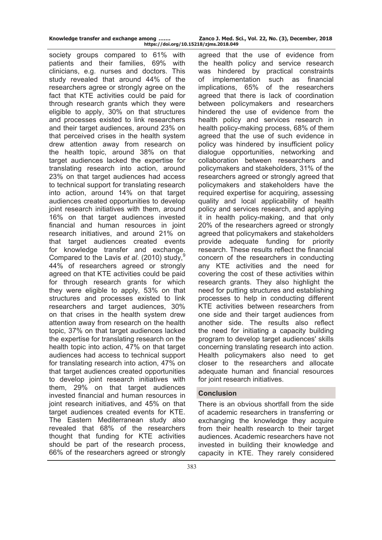| Knowledge transfer and exchange among |  |  |  |  |  |
|---------------------------------------|--|--|--|--|--|
|---------------------------------------|--|--|--|--|--|

**Knowledge transfer and exchange among ……. Zanco J. Med. Sci., Vol. 22, No. (3), December, 2018 https://doi.org/10.15218/zjms.2018.049**

society groups compared to 61% with patients and their families, 69% with clinicians, e.g. nurses and doctors. This study revealed that around 44% of the researchers agree or strongly agree on the fact that KTE activities could be paid for through research grants which they were eligible to apply, 30% on that structures and processes existed to link researchers and their target audiences, around 23% on that perceived crises in the health system drew attention away from research on the health topic, around 38% on that target audiences lacked the expertise for translating research into action, around 23% on that target audiences had access to technical support for translating research into action, around 14% on that target audiences created opportunities to develop joint research initiatives with them, around 16% on that target audiences invested financial and human resources in joint research initiatives, and around 21% on that target audiences created events for knowledge transfer and exchange. Compared to the Lavis *et al*. (2010) study,9 44% of researchers agreed or strongly agreed on that KTE activities could be paid for through research grants for which they were eligible to apply, 53% on that structures and processes existed to link researchers and target audiences, 30% on that crises in the health system drew attention away from research on the health topic, 37% on that target audiences lacked the expertise for translating research on the health topic into action, 47% on that target audiences had access to technical support for translating research into action, 47% on that target audiences created opportunities to develop joint research initiatives with them, 29% on that target audiences invested financial and human resources in joint research initiatives, and 45% on that target audiences created events for KTE. The Eastern Mediterranean study also revealed that 68% of the researchers thought that funding for KTE activities should be part of the research process, 66% of the researchers agreed or strongly

agreed that the use of evidence from the health policy and service research was hindered by practical constraints of implementation such as financial implications, 65% of the researchers agreed that there is lack of coordination between policymakers and researchers hindered the use of evidence from the health policy and services research in health policy-making process, 68% of them agreed that the use of such evidence in policy was hindered by insufficient policy dialogue opportunities, networking and collaboration between researchers and policymakers and stakeholders, 31% of the researchers agreed or strongly agreed that policymakers and stakeholders have the required expertise for acquiring, assessing quality and local applicability of health policy and services research, and applying it in health policy-making, and that only 20% of the researchers agreed or strongly agreed that policymakers and stakeholders provide adequate funding for priority research. These results reflect the financial concern of the researchers in conducting any KTE activities and the need for covering the cost of these activities within research grants. They also highlight the need for putting structures and establishing processes to help in conducting different KTE activities between researchers from one side and their target audiences from another side. The results also reflect the need for initiating a capacity building program to develop target audiences' skills concerning translating research into action. Health policymakers also need to get closer to the researchers and allocate adequate human and financial resources for joint research initiatives.

### **Conclusion**

There is an obvious shortfall from the side of academic researchers in transferring or exchanging the knowledge they acquire from their health research to their target audiences. Academic researchers have not invested in building their knowledge and capacity in KTE. They rarely considered